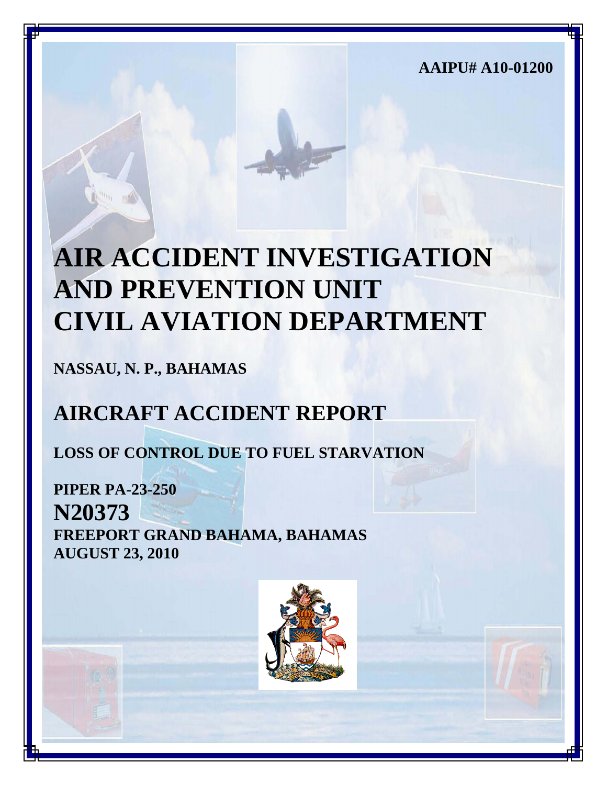**AAIPU# A10-01200**

# **AIR ACCIDENT INVESTIGATION AND PREVENTION UNIT CIVIL AVIATION DEPARTMENT**

**NASSAU, N. P., BAHAMAS**

# **AIRCRAFT ACCIDENT REPORT**

**LOSS OF CONTROL DUE TO FUEL STARVATION**

**PIPER PA-23-250 N20373 FREEPORT GRAND BAHAMA, BAHAMAS AUGUST 23, 2010**

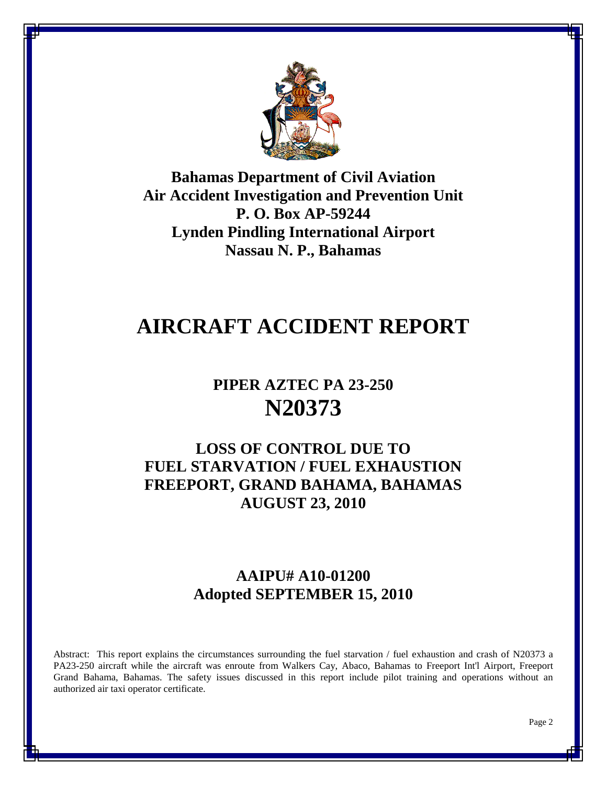

**Bahamas Department of Civil Aviation Air Accident Investigation and Prevention Unit P. O. Box AP-59244 Lynden Pindling International Airport Nassau N. P., Bahamas**

# **AIRCRAFT ACCIDENT REPORT**

# **PIPER AZTEC PA 23-250 N20373**

# **LOSS OF CONTROL DUE TO FUEL STARVATION / FUEL EXHAUSTION FREEPORT, GRAND BAHAMA, BAHAMAS AUGUST 23, 2010**

# **AAIPU# A10-01200 Adopted SEPTEMBER 15, 2010**

Abstract: This report explains the circumstances surrounding the fuel starvation / fuel exhaustion and crash of N20373 a PA23-250 aircraft while the aircraft was enroute from Walkers Cay, Abaco, Bahamas to Freeport Int'l Airport, Freeport Grand Bahama, Bahamas. The safety issues discussed in this report include pilot training and operations without an authorized air taxi operator certificate.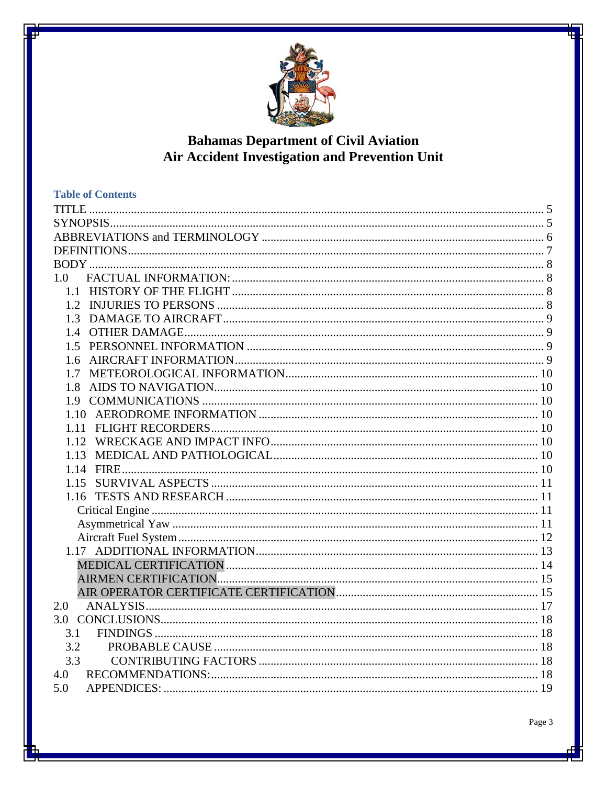

# **Bahamas Department of Civil Aviation<br>Air Accident Investigation and Prevention Unit**

| <b>Table of Contents</b> |  |
|--------------------------|--|
|                          |  |
|                          |  |
|                          |  |
|                          |  |
|                          |  |
| 1.0                      |  |
|                          |  |
|                          |  |
|                          |  |
|                          |  |
|                          |  |
| 1.6                      |  |
| 1.7                      |  |
| 1.8                      |  |
|                          |  |
|                          |  |
|                          |  |
|                          |  |
| 1.13                     |  |
|                          |  |
|                          |  |
|                          |  |
|                          |  |
|                          |  |
|                          |  |
|                          |  |
|                          |  |
|                          |  |
|                          |  |
| 2.0                      |  |
|                          |  |
| 3.1                      |  |
| 3.2                      |  |
| 3.3                      |  |
| 4.0                      |  |
| 5.0                      |  |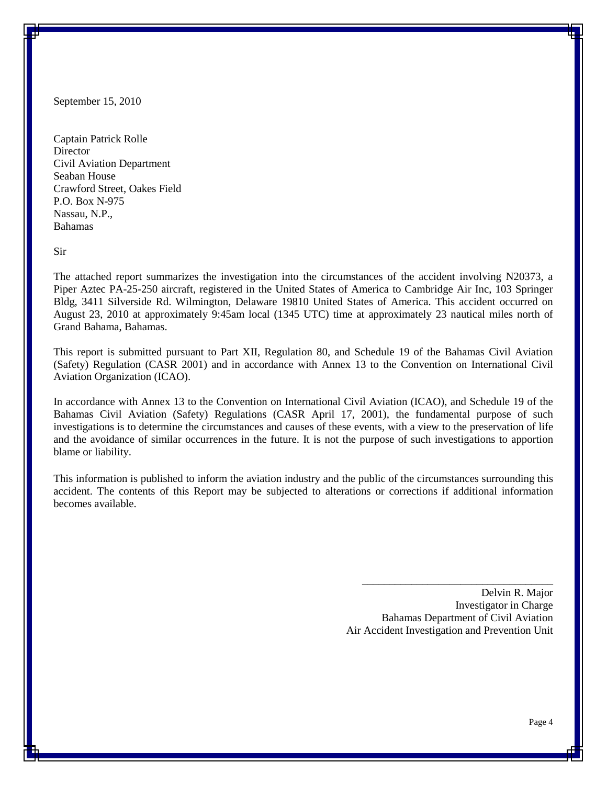September 15, 2010

Captain Patrick Rolle **Director** Civil Aviation Department Seaban House Crawford Street, Oakes Field P.O. Box N-975 Nassau, N.P., Bahamas

Sir

The attached report summarizes the investigation into the circumstances of the accident involving N20373, a Piper Aztec PA-25-250 aircraft, registered in the United States of America to Cambridge Air Inc, 103 Springer Bldg, 3411 Silverside Rd. Wilmington, Delaware 19810 United States of America. This accident occurred on August 23, 2010 at approximately 9:45am local (1345 UTC) time at approximately 23 nautical miles north of Grand Bahama, Bahamas.

This report is submitted pursuant to Part XII, Regulation 80, and Schedule 19 of the Bahamas Civil Aviation (Safety) Regulation (CASR 2001) and in accordance with Annex 13 to the Convention on International Civil Aviation Organization (ICAO).

In accordance with Annex 13 to the Convention on International Civil Aviation (ICAO), and Schedule 19 of the Bahamas Civil Aviation (Safety) Regulations (CASR April 17, 2001), the fundamental purpose of such investigations is to determine the circumstances and causes of these events, with a view to the preservation of life and the avoidance of similar occurrences in the future. It is not the purpose of such investigations to apportion blame or liability.

This information is published to inform the aviation industry and the public of the circumstances surrounding this accident. The contents of this Report may be subjected to alterations or corrections if additional information becomes available.

> Delvin R. Major Investigator in Charge Bahamas Department of Civil Aviation Air Accident Investigation and Prevention Unit

\_\_\_\_\_\_\_\_\_\_\_\_\_\_\_\_\_\_\_\_\_\_\_\_\_\_\_\_\_\_\_\_\_\_\_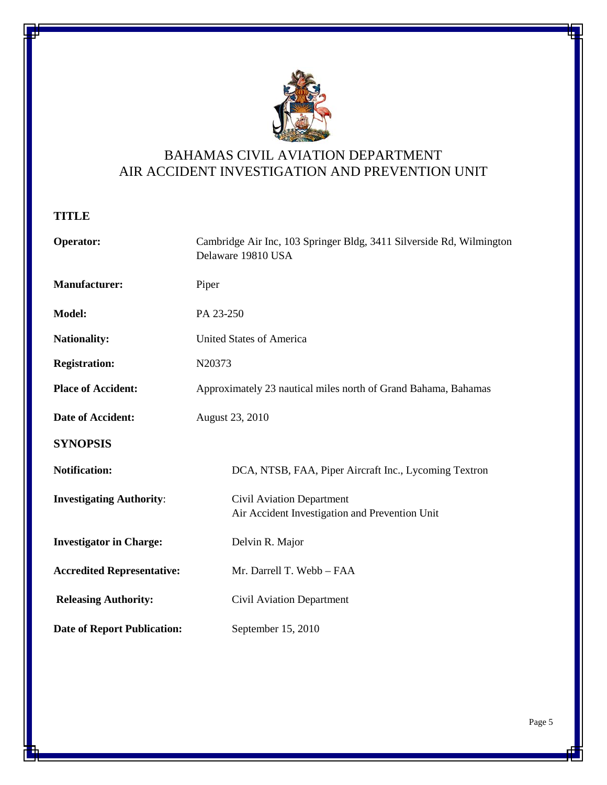

# BAHAMAS CIVIL AVIATION DEPARTMENT AIR ACCIDENT INVESTIGATION AND PREVENTION UNIT

<span id="page-4-0"></span>**TITLE**

<span id="page-4-1"></span>

| Operator:                          | Cambridge Air Inc, 103 Springer Bldg, 3411 Silverside Rd, Wilmington<br>Delaware 19810 USA |  |  |  |
|------------------------------------|--------------------------------------------------------------------------------------------|--|--|--|
| <b>Manufacturer:</b>               | Piper                                                                                      |  |  |  |
| Model:                             | PA 23-250                                                                                  |  |  |  |
| <b>Nationality:</b>                | United States of America                                                                   |  |  |  |
| <b>Registration:</b>               | N20373                                                                                     |  |  |  |
| <b>Place of Accident:</b>          | Approximately 23 nautical miles north of Grand Bahama, Bahamas                             |  |  |  |
| Date of Accident:                  | August 23, 2010                                                                            |  |  |  |
| <b>SYNOPSIS</b>                    |                                                                                            |  |  |  |
| <b>Notification:</b>               | DCA, NTSB, FAA, Piper Aircraft Inc., Lycoming Textron                                      |  |  |  |
| <b>Investigating Authority:</b>    | Civil Aviation Department<br>Air Accident Investigation and Prevention Unit                |  |  |  |
| <b>Investigator in Charge:</b>     | Delvin R. Major                                                                            |  |  |  |
| <b>Accredited Representative:</b>  | Mr. Darrell T. Webb - FAA                                                                  |  |  |  |
| <b>Releasing Authority:</b>        | Civil Aviation Department                                                                  |  |  |  |
| <b>Date of Report Publication:</b> | September 15, 2010                                                                         |  |  |  |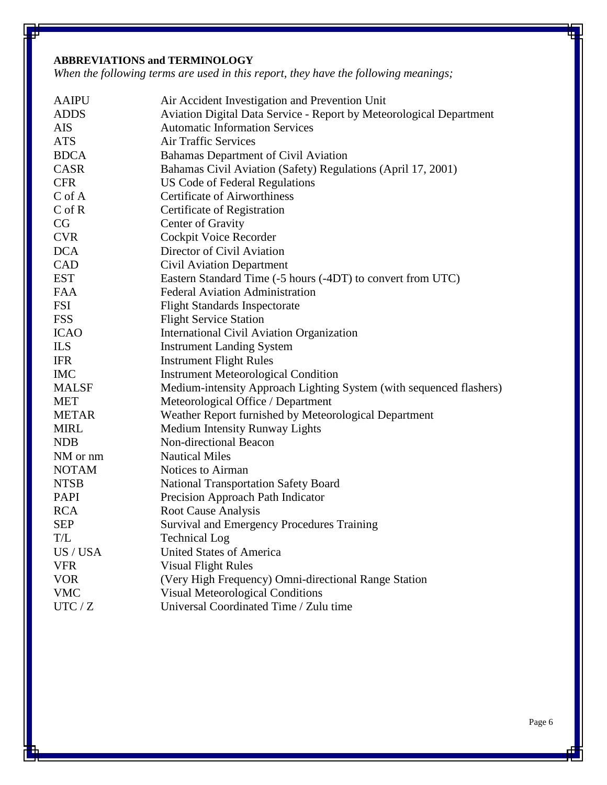# <span id="page-5-0"></span>**ABBREVIATIONS and TERMINOLOGY**

*When the following terms are used in this report, they have the following meanings;*

| <b>AAIPU</b> | Air Accident Investigation and Prevention Unit                      |
|--------------|---------------------------------------------------------------------|
| <b>ADDS</b>  | Aviation Digital Data Service - Report by Meteorological Department |
| AIS          | <b>Automatic Information Services</b>                               |
| <b>ATS</b>   | <b>Air Traffic Services</b>                                         |
| <b>BDCA</b>  | Bahamas Department of Civil Aviation                                |
| <b>CASR</b>  | Bahamas Civil Aviation (Safety) Regulations (April 17, 2001)        |
| <b>CFR</b>   | <b>US Code of Federal Regulations</b>                               |
| $C$ of $A$   | <b>Certificate of Airworthiness</b>                                 |
| $C$ of $R$   | Certificate of Registration                                         |
| CG           | Center of Gravity                                                   |
| <b>CVR</b>   | Cockpit Voice Recorder                                              |
| <b>DCA</b>   | Director of Civil Aviation                                          |
| <b>CAD</b>   | Civil Aviation Department                                           |
| <b>EST</b>   | Eastern Standard Time (-5 hours (-4DT) to convert from UTC)         |
| <b>FAA</b>   | <b>Federal Aviation Administration</b>                              |
| <b>FSI</b>   | <b>Flight Standards Inspectorate</b>                                |
| <b>FSS</b>   | <b>Flight Service Station</b>                                       |
| <b>ICAO</b>  | <b>International Civil Aviation Organization</b>                    |
| <b>ILS</b>   | <b>Instrument Landing System</b>                                    |
| <b>IFR</b>   | <b>Instrument Flight Rules</b>                                      |
| <b>IMC</b>   | <b>Instrument Meteorological Condition</b>                          |
| <b>MALSF</b> | Medium-intensity Approach Lighting System (with sequenced flashers) |
| <b>MET</b>   | Meteorological Office / Department                                  |
| <b>METAR</b> | Weather Report furnished by Meteorological Department               |
| <b>MIRL</b>  | <b>Medium Intensity Runway Lights</b>                               |
| <b>NDB</b>   | Non-directional Beacon                                              |
| NM or nm     | <b>Nautical Miles</b>                                               |
| <b>NOTAM</b> | Notices to Airman                                                   |
| <b>NTSB</b>  | <b>National Transportation Safety Board</b>                         |
| <b>PAPI</b>  | Precision Approach Path Indicator                                   |
| <b>RCA</b>   | <b>Root Cause Analysis</b>                                          |
| <b>SEP</b>   | <b>Survival and Emergency Procedures Training</b>                   |
| T/L          | <b>Technical Log</b>                                                |
| US / USA     | <b>United States of America</b>                                     |
| <b>VFR</b>   | <b>Visual Flight Rules</b>                                          |
| <b>VOR</b>   | (Very High Frequency) Omni-directional Range Station                |
| <b>VMC</b>   | <b>Visual Meteorological Conditions</b>                             |
| UTC / Z      | Universal Coordinated Time / Zulu time                              |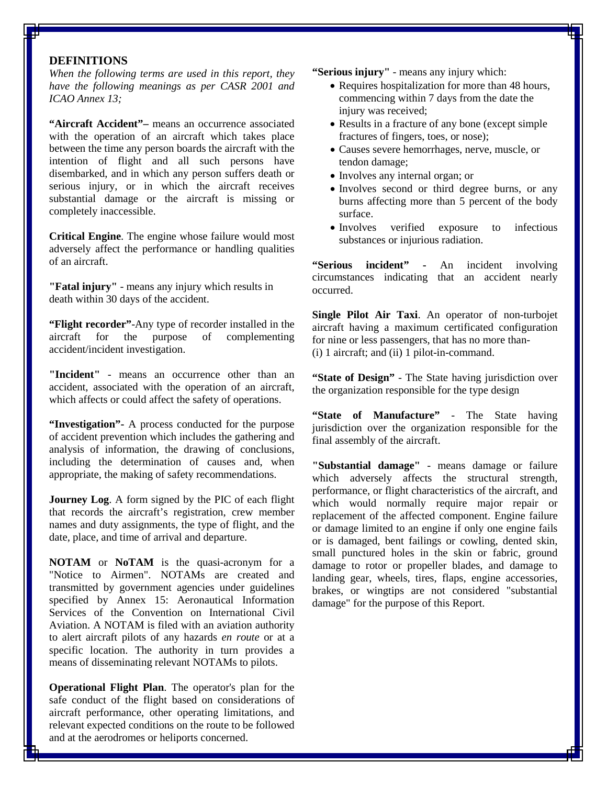#### <span id="page-6-0"></span>**DEFINITIONS**

*When the following terms are used in this report, they have the following meanings as per CASR 2001 and ICAO Annex 13;*

**"Aircraft Accident"–** means an occurrence associated with the operation of an aircraft which takes place between the time any person boards the aircraft with the intention of flight and all such persons have disembarked, and in which any person suffers death or serious injury, or in which the aircraft receives substantial damage or the aircraft is missing or completely inaccessible.

**Critical Engine**. The engine whose failure would most adversely affect the performance or handling qualities of an aircraft.

**"Fatal injury"** - means any injury which results in death within 30 days of the accident.

**"Flight recorder"**-Any type of recorder installed in the aircraft for the purpose of complementing accident/incident investigation.

**"Incident"** - means an occurrence other than an accident, associated with the operation of an aircraft, which affects or could affect the safety of operations.

**"Investigation"-** A process conducted for the purpose of accident prevention which includes the gathering and analysis of information, the drawing of conclusions, including the determination of causes and, when appropriate, the making of safety recommendations.

**Journey Log**. A form signed by the PIC of each flight that records the aircraft's registration, crew member names and duty assignments, the type of flight, and the date, place, and time of arrival and departure.

**NOTAM** or **NoTAM** is the quasi[-acronym](http://en.wikipedia.org/wiki/Acronym) for a "Notice to Airmen". NOTAMs are created and transmitted by government agencies under guidelines specified by Annex 15: Aeronautical Information Services of the [Convention on International Civil](http://en.wikipedia.org/wiki/Convention_on_International_Civil_Aviation)  [Aviation.](http://en.wikipedia.org/wiki/Convention_on_International_Civil_Aviation) A NOTAM is filed with an aviation authority to alert [aircraft pilots](http://en.wikipedia.org/wiki/Aviator) of any hazards *en route* or at a specific location. The authority in turn provides a means of disseminating relevant NOTAMs to pilots.

**Operational Flight Plan**. The operator's plan for the safe conduct of the flight based on considerations of aircraft performance, other operating limitations, and relevant expected conditions on the route to be followed and at the aerodromes or heliports concerned.

**"Serious injury"** - means any injury which:

- Requires hospitalization for more than 48 hours, commencing within 7 days from the date the injury was received;
- Results in a fracture of any bone (except simple fractures of fingers, toes, or nose);
- Causes severe hemorrhages, nerve, muscle, or tendon damage;
- Involves any internal organ; or
- Involves second or third degree burns, or any burns affecting more than 5 percent of the body surface.
- Involves verified exposure to infectious substances or injurious radiation.

**"Serious incident" -** An incident involving circumstances indicating that an accident nearly occurred.

**Single Pilot Air Taxi**. An operator of non-turbojet aircraft having a maximum certificated configuration for nine or less passengers, that has no more than- (i) 1 aircraft; and (ii) 1 pilot-in-command.

**"State of Design"** - The State having jurisdiction over the organization responsible for the type design

**"State of Manufacture"** - The State having jurisdiction over the organization responsible for the final assembly of the aircraft.

**"Substantial damage"** - means damage or failure which adversely affects the structural strength, performance, or flight characteristics of the aircraft, and which would normally require major repair or replacement of the affected component. Engine failure or damage limited to an engine if only one engine fails or is damaged, bent failings or cowling, dented skin, small punctured holes in the skin or fabric, ground damage to rotor or propeller blades, and damage to landing gear, wheels, tires, flaps, engine accessories, brakes, or wingtips are not considered "substantial damage" for the purpose of this Report.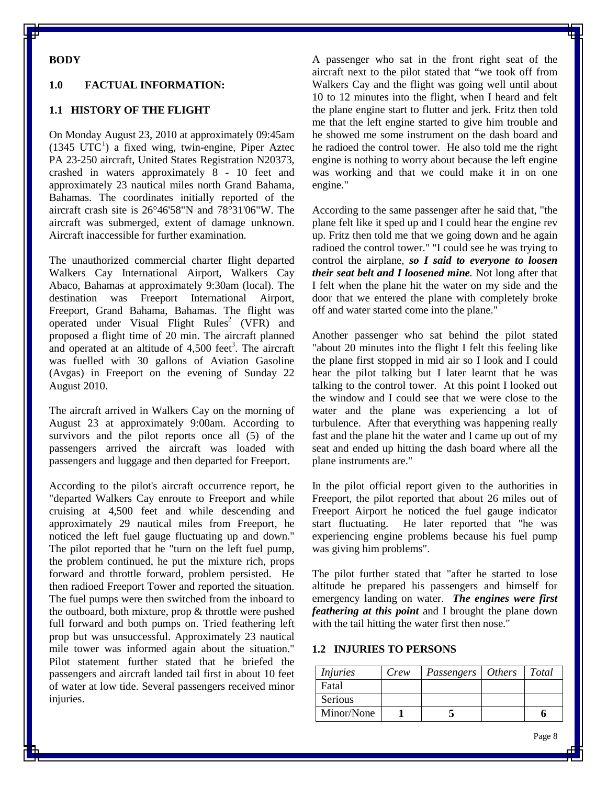# <span id="page-7-0"></span>**BODY**

#### <span id="page-7-1"></span>**1.0 FACTUAL INFORMATION:**

#### <span id="page-7-2"></span>**1.1 HISTORY OF THE FLIGHT**

On Monday August 23, 2010 at approximately 09:45am  $(1345 \text{ UTC}^1)$  $(1345 \text{ UTC}^1)$  $(1345 \text{ UTC}^1)$  a fixed wing, twin-engine, Piper Aztec PA 23-250 aircraft, United States Registration N20373, crashed in waters approximately 8 - 10 feet and approximately 23 nautical miles north Grand Bahama, Bahamas. The coordinates initially reported of the aircraft crash site is 26°46'58"N and 78°31'06"W. The aircraft was submerged, extent of damage unknown. Aircraft inaccessible for further examination.

The unauthorized commercial charter flight departed Walkers Cay International Airport, Walkers Cay Abaco, Bahamas at approximately 9:30am (local). The destination was Freeport International Airport, Freeport, Grand Bahama, Bahamas. The flight was operated under Visual Flight Rules<sup>2</sup> (VFR) and proposed a flight time of 20 min. The aircraft planned and operated at an altitude of  $4,500$  feet<sup>3</sup>. The aircraft was fuelled with 30 gallons of Aviation Gasoline (Avgas) in Freeport on the evening of Sunday 22 August 2010.

The aircraft arrived in Walkers Cay on the morning of August 23 at approximately 9:00am. According to survivors and the pilot reports once all (5) of the passengers arrived the aircraft was loaded with passengers and luggage and then departed for Freeport.

According to the pilot's aircraft occurrence report, he "departed Walkers Cay enroute to Freeport and while cruising at 4,500 feet and while descending and approximately 29 nautical miles from Freeport, he noticed the left fuel gauge fluctuating up and down." The pilot reported that he "turn on the left fuel pump, the problem continued, he put the mixture rich, props forward and throttle forward, problem persisted. He then radioed Freeport Tower and reported the situation. The fuel pumps were then switched from the inboard to the outboard, both mixture, prop & throttle were pushed full forward and both pumps on. Tried feathering left prop but was unsuccessful. Approximately 23 nautical mile tower was informed again about the situation." Pilot statement further stated that he briefed the passengers and aircraft landed tail first in about 10 feet of water at low tide. Several passengers received minor injuries.

A passenger who sat in the front right seat of the aircraft next to the pilot stated that "we took off from Walkers Cay and the flight was going well until about 10 to 12 minutes into the flight, when I heard and felt the plane engine start to flutter and jerk. Fritz then told me that the left engine started to give him trouble and he showed me some instrument on the dash board and he radioed the control tower. He also told me the right engine is nothing to worry about because the left engine was working and that we could make it in on one engine."

According to the same passenger after he said that, "the plane felt like it sped up and I could hear the engine rev up. Fritz then told me that we going down and he again radioed the control tower." "I could see he was trying to control the airplane, *so I said to everyone to loosen their seat belt and I loosened mine.* Not long after that I felt when the plane hit the water on my side and the door that we entered the plane with completely broke off and water started come into the plane."

Another passenger who sat behind the pilot stated "about 20 minutes into the flight I felt this feeling like the plane first stopped in mid air so I look and I could hear the pilot talking but I later learnt that he was talking to the control tower. At this point I looked out the window and I could see that we were close to the water and the plane was experiencing a lot of turbulence. After that everything was happening really fast and the plane hit the water and I came up out of my seat and ended up hitting the dash board where all the plane instruments are."

In the pilot official report given to the authorities in Freeport, the pilot reported that about 26 miles out of Freeport Airport he noticed the fuel gauge indicator start fluctuating. He later reported that "he was experiencing engine problems because his fuel pump was giving him problems".

The pilot further stated that "after he started to lose altitude he prepared his passengers and himself for emergency landing on water. *The engines were first feathering at this point* and I brought the plane down with the tail hitting the water first then nose."

#### <span id="page-7-3"></span>**1.2 INJURIES TO PERSONS**

| <i>Injuries</i> | Crew | Passengers   Others | Total |
|-----------------|------|---------------------|-------|
| Fatal           |      |                     |       |
| Serious         |      |                     |       |
| Minor/None      |      |                     |       |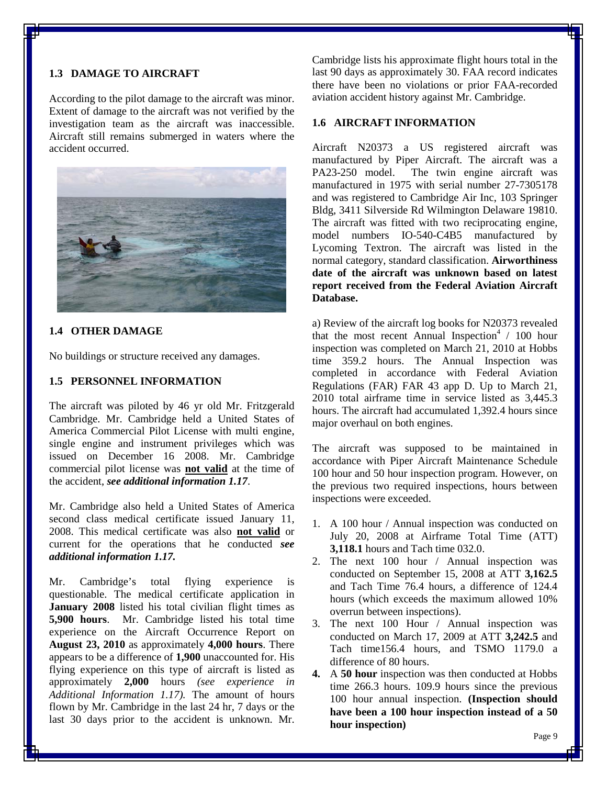## <span id="page-8-0"></span>**1.3 DAMAGE TO AIRCRAFT**

According to the pilot damage to the aircraft was minor. Extent of damage to the aircraft was not verified by the investigation team as the aircraft was inaccessible. Aircraft still remains submerged in waters where the accident occurred.



#### <span id="page-8-1"></span>**1.4 OTHER DAMAGE**

No buildings or structure received any damages.

# <span id="page-8-2"></span>**1.5 PERSONNEL INFORMATION**

The aircraft was piloted by 46 yr old Mr. Fritzgerald Cambridge. Mr. Cambridge held a United States of America Commercial Pilot License with multi engine, single engine and instrument privileges which was issued on December 16 2008. Mr. Cambridge commercial pilot license was **not valid** at the time of the accident, *see additional information 1.17*.

Mr. Cambridge also held a United States of America second class medical certificate issued January 11, 2008. This medical certificate was also **not valid** or current for the operations that he conducted *see additional information 1.17.* 

Mr. Cambridge's total flying experience is questionable. The medical certificate application in **January 2008** listed his total civilian flight times as **5,900 hours**. Mr. Cambridge listed his total time experience on the Aircraft Occurrence Report on **August 23, 2010** as approximately **4,000 hours**. There appears to be a difference of **1,900** unaccounted for. His flying experience on this type of aircraft is listed as approximately **2,000** hours *(see experience in Additional Information 1.17).* The amount of hours flown by Mr. Cambridge in the last 24 hr, 7 days or the last 30 days prior to the accident is unknown. Mr.

Cambridge lists his approximate flight hours total in the last 90 days as approximately 30. FAA record indicates there have been no violations or prior FAA-recorded aviation accident history against Mr. Cambridge.

#### <span id="page-8-3"></span>**1.6 AIRCRAFT INFORMATION**

Aircraft N20373 a US registered aircraft was manufactured by Piper Aircraft. The aircraft was a PA23-250 model. The twin engine aircraft was manufactured in 1975 with serial number 27-7305178 and was registered to Cambridge Air Inc, 103 Springer Bldg, 3411 Silverside Rd Wilmington Delaware 19810. The aircraft was fitted with two reciprocating engine, model numbers IO-540-C4B5 manufactured by Lycoming Textron. The aircraft was listed in the normal category, standard classification. **Airworthiness date of the aircraft was unknown based on latest report received from the Federal Aviation Aircraft Database.**

a) Review of the aircraft log books for N20373 revealed that the most recent Annual Inspection<sup>4</sup> / 100 hour inspection was completed on March 21, 2010 at Hobbs time 359.2 hours. The Annual Inspection was completed in accordance with Federal Aviation Regulations (FAR) FAR 43 app D. Up to March 21, 2010 total airframe time in service listed as 3,445.3 hours. The aircraft had accumulated 1,392.4 hours since major overhaul on both engines.

The aircraft was supposed to be maintained in accordance with Piper Aircraft Maintenance Schedule 100 hour and 50 hour inspection program. However, on the previous two required inspections, hours between inspections were exceeded.

- 1. A 100 hour / Annual inspection was conducted on July 20, 2008 at Airframe Total Time (ATT) **3,118.1** hours and Tach time 032.0.
- 2. The next 100 hour / Annual inspection was conducted on September 15, 2008 at ATT **3,162.5** and Tach Time 76.4 hours, a difference of 124.4 hours (which exceeds the maximum allowed 10% overrun between inspections).
- 3. The next 100 Hour / Annual inspection was conducted on March 17, 2009 at ATT **3,242.5** and Tach time156.4 hours, and TSMO 1179.0 a difference of 80 hours.
- **4.** A **50 hour** inspection was then conducted at Hobbs time 266.3 hours. 109.9 hours since the previous 100 hour annual inspection. **(Inspection should have been a 100 hour inspection instead of a 50 hour inspection)**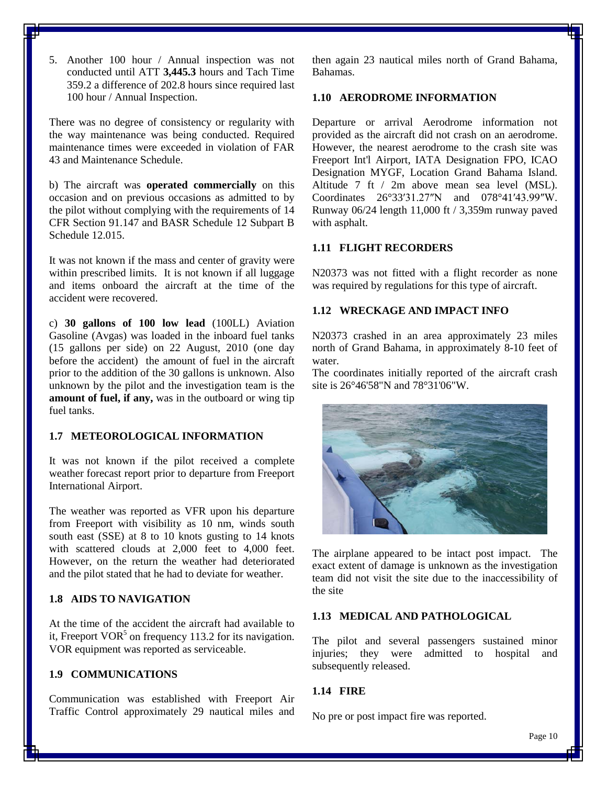5. Another 100 hour / Annual inspection was not conducted until ATT **3,445.3** hours and Tach Time 359.2 a difference of 202.8 hours since required last 100 hour / Annual Inspection.

There was no degree of consistency or regularity with the way maintenance was being conducted. Required maintenance times were exceeded in violation of FAR 43 and Maintenance Schedule.

b) The aircraft was **operated commercially** on this occasion and on previous occasions as admitted to by the pilot without complying with the requirements of 14 CFR Section 91.147 and BASR Schedule 12 Subpart B Schedule 12.015.

It was not known if the mass and center of gravity were within prescribed limits. It is not known if all luggage and items onboard the aircraft at the time of the accident were recovered.

c) **30 gallons of 100 low lead** (100LL) Aviation Gasoline (Avgas) was loaded in the inboard fuel tanks (15 gallons per side) on 22 August, 2010 (one day before the accident) the amount of fuel in the aircraft prior to the addition of the 30 gallons is unknown. Also unknown by the pilot and the investigation team is the **amount of fuel, if any,** was in the outboard or wing tip fuel tanks.

# <span id="page-9-0"></span>**1.7 METEOROLOGICAL INFORMATION**

It was not known if the pilot received a complete weather forecast report prior to departure from Freeport International Airport.

The weather was reported as VFR upon his departure from Freeport with visibility as 10 nm, winds south south east (SSE) at 8 to 10 knots gusting to 14 knots with scattered clouds at 2,000 feet to 4,000 feet. However, on the return the weather had deteriorated and the pilot stated that he had to deviate for weather.

# <span id="page-9-1"></span>**1.8 AIDS TO NAVIGATION**

At the time of the accident the aircraft had available to it, Freeport  $VOR<sup>5</sup>$  on frequency 113.2 for its navigation. VOR equipment was reported as serviceable.

# <span id="page-9-2"></span>**1.9 COMMUNICATIONS**

Communication was established with Freeport Air Traffic Control approximately 29 nautical miles and then again 23 nautical miles north of Grand Bahama, Bahamas.

# <span id="page-9-3"></span>**1.10 AERODROME INFORMATION**

Departure or arrival Aerodrome information not provided as the aircraft did not crash on an aerodrome. However, the nearest aerodrome to the crash site was Freeport Int'l Airport, IATA Designation FPO, ICAO Designation MYGF, Location Grand Bahama Island. Altitude 7 ft / 2m above mean sea level (MSL). Coordinates 26°33′31.27″N [and 078°41](http://toolserver.org/~geohack/geohack.php?pagename=Grand_Bahama_International_Airport¶ms=26_33_31.27_N_078_41_43.99_W_type:airport)′43.99″W. Runway 06/24 length 11,000 ft / 3,359m runway paved with asphalt.

# <span id="page-9-4"></span>**1.11 FLIGHT RECORDERS**

N20373 was not fitted with a flight recorder as none was required by regulations for this type of aircraft.

# <span id="page-9-5"></span>**1.12 WRECKAGE AND IMPACT INFO**

N20373 crashed in an area approximately 23 miles north of Grand Bahama, in approximately 8-10 feet of water.

The coordinates initially reported of the aircraft crash site is 26°46'58"N and 78°31'06"W.



The airplane appeared to be intact post impact. The exact extent of damage is unknown as the investigation team did not visit the site due to the inaccessibility of the site

# <span id="page-9-6"></span>**1.13 MEDICAL AND PATHOLOGICAL**

The pilot and several passengers sustained minor injuries; they were admitted to hospital and subsequently released.

#### <span id="page-9-7"></span>**1.14 FIRE**

No pre or post impact fire was reported.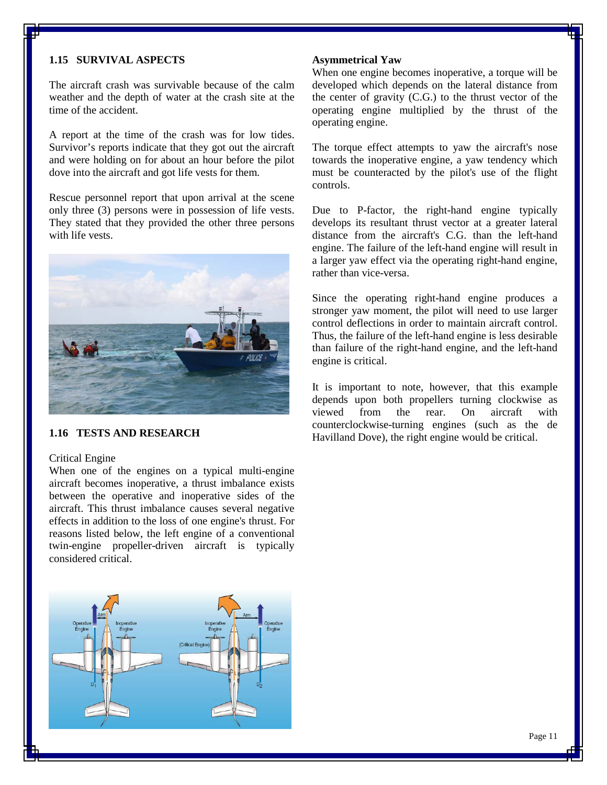#### <span id="page-10-0"></span>**1.15 SURVIVAL ASPECTS**

The aircraft crash was survivable because of the calm weather and the depth of water at the crash site at the time of the accident.

A report at the time of the crash was for low tides. Survivor's reports indicate that they got out the aircraft and were holding on for about an hour before the pilot dove into the aircraft and got life vests for them.

Rescue personnel report that upon arrival at the scene only three (3) persons were in possession of life vests. They stated that they provided the other three persons with life vests.



# <span id="page-10-1"></span>**1.16 TESTS AND RESEARCH**

#### <span id="page-10-2"></span>Critical Engine

When one of the engines on a typical multi-engine aircraft becomes inoperative, a [thrust](http://en.wikipedia.org/wiki/Thrust) imbalance exists between the operative and inoperative sides of the aircraft. This thrust imbalance causes several negative effects in addition to the loss of one engine's thrust. For reasons listed below, the left engine of a conventional twin-engine propeller-driven aircraft is typically considered critical.



#### <span id="page-10-3"></span>**Asymmetrical Yaw**

When one engine becomes inoperative, a [torque](http://en.wikipedia.org/wiki/Torque) will be developed which depends on the lateral distance from the [center of gravity](http://en.wikipedia.org/wiki/Center_of_gravity) (C.G.) to the thrust vector of the operating engine multiplied by the thrust of the operating engine.

The torque effect attempts to [yaw](http://en.wikipedia.org/wiki/Flight_dynamics) the aircraft's nose towards the inoperative engine, a yaw tendency which must be counteracted by the pilot's use of the [flight](http://en.wikipedia.org/wiki/Aircraft_flight_control_system)  [controls.](http://en.wikipedia.org/wiki/Aircraft_flight_control_system)

Due to [P-factor,](http://en.wikipedia.org/wiki/P-factor) the right-hand engine typically develops its resultant thrust vector at a greater lateral distance from the aircraft's C.G. than the left-hand engine. The failure of the left-hand engine will result in a larger yaw effect via the operating right-hand engine, rather than vice-versa.

Since the operating right-hand engine produces a stronger yaw moment, the pilot will need to use larger control deflections in order to maintain aircraft control. Thus, the failure of the left-hand engine is less desirable than failure of the right-hand engine, and the left-hand engine is critical.

It is important to note, however, that this example depends upon both [propellers](http://en.wikipedia.org/wiki/Propeller) turning clockwise as viewed from the rear. On aircraft with counterclockwise-turning engines (such as the [de](http://en.wikipedia.org/wiki/De_Havilland_Dove)  [Havilland Dove\)](http://en.wikipedia.org/wiki/De_Havilland_Dove), the right engine would be critical.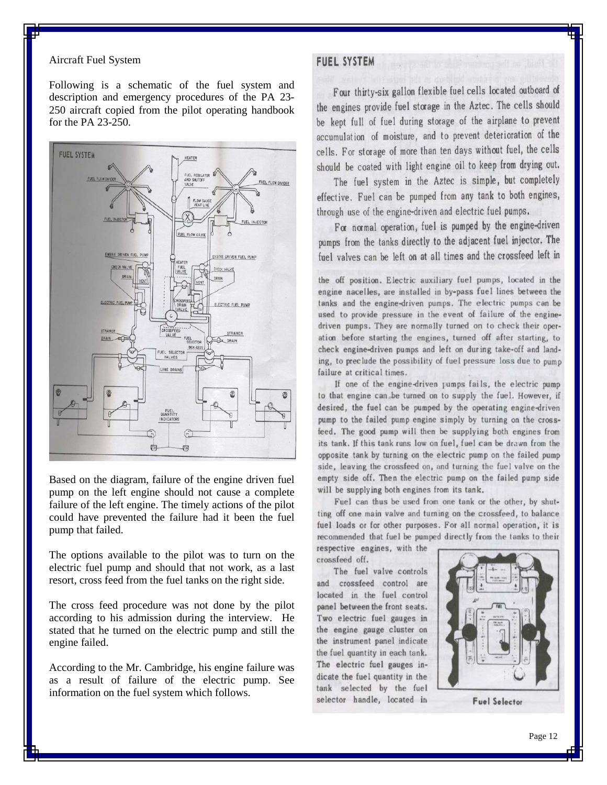#### <span id="page-11-0"></span>Aircraft Fuel System

Following is a schematic of the fuel system and description and emergency procedures of the PA 23- 250 aircraft copied from the pilot operating handbook for the PA 23-250.



Based on the diagram, failure of the engine driven fuel pump on the left engine should not cause a complete failure of the left engine. The timely actions of the pilot could have prevented the failure had it been the fuel pump that failed.

The options available to the pilot was to turn on the electric fuel pump and should that not work, as a last resort, cross feed from the fuel tanks on the right side.

The cross feed procedure was not done by the pilot according to his admission during the interview. He stated that he turned on the electric pump and still the engine failed.

According to the Mr. Cambridge, his engine failure was as a result of failure of the electric pump. See information on the fuel system which follows.

# **FUEL SYSTEM**

Four thirty-six gallon flexible fuel cells located outboard of the engines provide fuel storage in the Aztec. The cells should be kept full of fuel during storage of the airplane to prevent accumulation of moisture, and to prevent deterioration of the cells. For storage of more than ten days without fuel, the cells should be coated with light engine oil to keep from drying out.

The fuel system in the Aztec is simple, but completely effective. Fuel can be pumped from any tank to both engines, through use of the engine-driven and electric fuel pumps.

For normal operation, fuel is pumped by the engine-driven pumps from the tanks directly to the adjacent fuel injector. The fuel valves can be left on at all times and the crossfeed left in

the off position. Electric auxiliary fuel pumps, located in the engine nacelles, are installed in by-pass fuel lines between the tanks and the engine-driven pumps. The electric pumps can be used to provide pressure in the event of failure of the enginedriven pumps. They are normally turned on to check their operation before starting the engines, turned off after starting, to check engine-driven pumps and left on during take-off and landing, to preclude the possibility of fuel pressure loss due to pump failure at critical times.

If one of the engine-driven rumps fails, the electric pump to that engine can be turned on to supply the fuel. However, if desired, the fuel can be pumped by the operating engine-driven pump to the failed pump engine simply by turning on the crossfeed. The good pump will then be supplying both engines from its tank. If this tank runs low on fuel, fuel can be drawn from the opposite tank by turning on the electric pump on the failed pump side, leaving the crossfeed on, and turning the fuel valve on the empty side off. Then the electric pump on the failed pump side will be supplying both engines from its tank.

Fuel can thus be used from one tank or the other, by shutting off one main valve and turning on the crossfeed, to balance fuel loads or for other purposes. For all normal operation, it is recommended that fuel be pumped directly from the tanks to their

respective engines, with the crossfeed off.

The fuel valve controls and crossfeed control are located in the fuel control panel between the front seats. Two electric fuel gauges in the engine gauge cluster on the instrument panel indicate the fuel quantity in each tank. The electric fuel gauges indicate the fuel quantity in the tank selected by the fuel selector handle, located in



**Fuel Selector**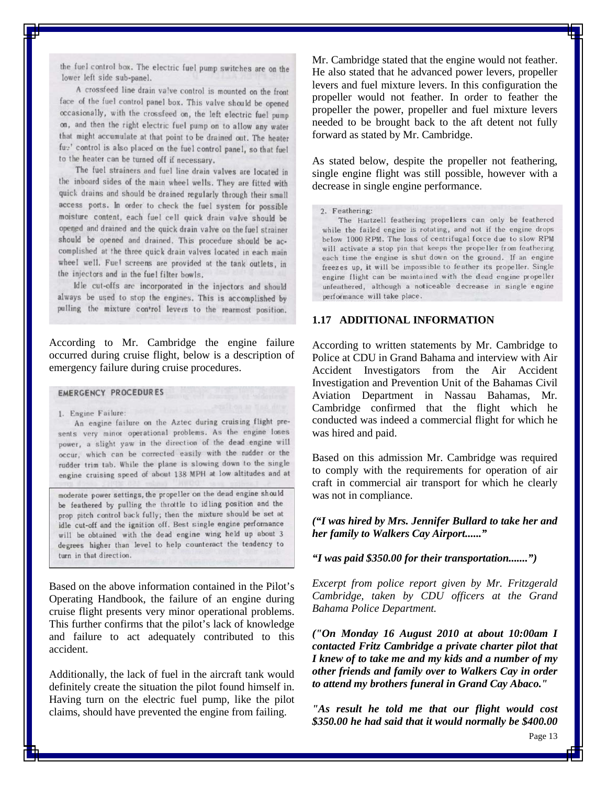the fuel control box. The electric fuel pump switches are on the lower left side sub-panel.

A crossfeed line drain valve control is mounted on the front face of the fuel control panel box. This valve should be opened occasionally, with the crossfeed on, the left electric fuel pump on, and then the right electric fuel pump on to allow any water that might accumulate at that point to be drained out. The heater fue' control is also placed on the fuel control panel, so that fuel to the heater can be turned off if necessary.

The fuel strainers and fuel line drain valves are located in the inboard sides of the main wheel wells. They are fitted with quick drains and should be drained regularly through their small access ports. In order to check the fuel system for possible moisture content, each fuel cell quick drain valve should be opened and drained and the quick drain valve on the fuel strainer should be opened and drained. This procedure should be accomplished at the three quick drain valves located in each main wheel well. Fuel screens are provided at the tank outlets, in the injectors and in the fuel filter bowls.

Idle cut-offs are incorporated in the injectors and should always be used to stop the engines. This is accomplished by pulling the mixture control levers to the rearmost position.

According to Mr. Cambridge the engine failure occurred during cruise flight, below is a description of emergency failure during cruise procedures.

#### **EMERGENCY PROCEDURES**

1. Engine Failure:

An engine failure on the Aztec during cruising flight presents very minor operational problems. As the engine loses power, a slight yaw in the direction of the dead engine will occur, which can be corrected easily with the rudder or the rudder trim tab. While the plane is slowing down to the single engine cruising speed of about 138 MPH at low altitudes and at

moderate power settings, the propeller on the dead engine should be feathered by pulling the throttle to idling position and the prop pitch control back fully; then the mixture should be set at idle cut-off and the ignition off. Best single engine performance will be obtained with the dead engine wing held up about 3 degrees higher than level to help counteract the tendency to turn in that direction.

Based on the above information contained in the Pilot's Operating Handbook, the failure of an engine during cruise flight presents very minor operational problems. This further confirms that the pilot's lack of knowledge and failure to act adequately contributed to this accident.

Additionally, the lack of fuel in the aircraft tank would definitely create the situation the pilot found himself in. Having turn on the electric fuel pump, like the pilot claims, should have prevented the engine from failing.

Mr. Cambridge stated that the engine would not feather. He also stated that he advanced power levers, propeller levers and fuel mixture levers. In this configuration the propeller would not feather. In order to feather the propeller the power, propeller and fuel mixture levers needed to be brought back to the aft detent not fully forward as stated by Mr. Cambridge.

As stated below, despite the propeller not feathering, single engine flight was still possible, however with a decrease in single engine performance.

2. Feathering:

The Hartzell feathering propellers can only be feathered while the failed engine is rotating, and not if the engine drops below 1000 RPM. The loss of centrifugal force due to slow RPM will activate a stop pin that keeps the propeller from feathering each time the engine is shut down on the ground. If an engine freezes up, it will be impossible to feather its propeller. Single engine flight can be maintained with the dead engine propeller unfeathered, although a noticeable decrease in single engine performance will take place.

#### <span id="page-12-0"></span>**1.17 ADDITIONAL INFORMATION**

According to written statements by Mr. Cambridge to Police at CDU in Grand Bahama and interview with Air Accident Investigators from the Air Accident Investigation and Prevention Unit of the Bahamas Civil Aviation Department in Nassau Bahamas, Mr. Cambridge confirmed that the flight which he conducted was indeed a commercial flight for which he was hired and paid.

Based on this admission Mr. Cambridge was required to comply with the requirements for operation of air craft in commercial air transport for which he clearly was not in compliance.

*("I was hired by Mrs. Jennifer Bullard to take her and her family to Walkers Cay Airport......"*

*"I was paid \$350.00 for their transportation.......")* 

*Excerpt from police report given by Mr. Fritzgerald Cambridge, taken by CDU officers at the Grand Bahama Police Department.*

*("On Monday 16 August 2010 at about 10:00am I contacted Fritz Cambridge a private charter pilot that I knew of to take me and my kids and a number of my other friends and family over to Walkers Cay in order to attend my brothers funeral in Grand Cay Abaco."*

*"As result he told me that our flight would cost \$350.00 he had said that it would normally be \$400.00*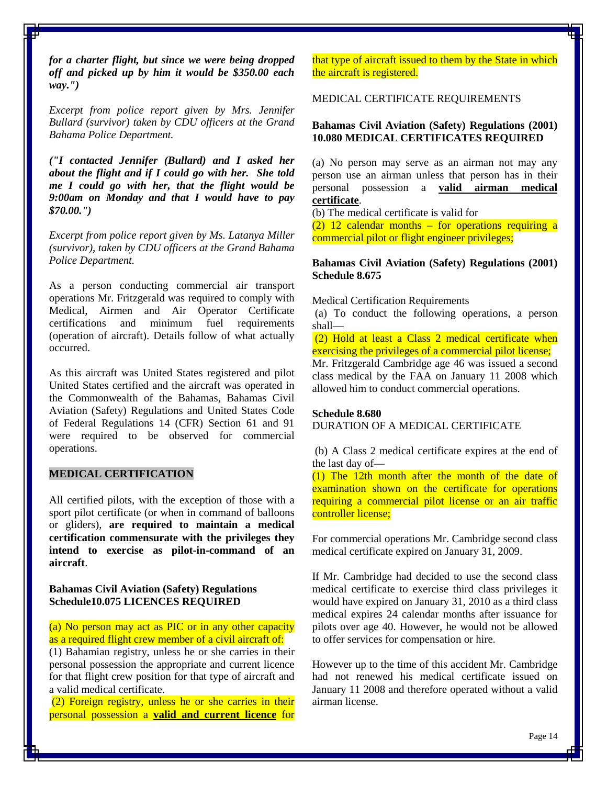*for a charter flight, but since we were being dropped off and picked up by him it would be \$350.00 each way.")*

*Excerpt from police report given by Mrs. Jennifer Bullard (survivor) taken by CDU officers at the Grand Bahama Police Department.*

*("I contacted Jennifer (Bullard) and I asked her about the flight and if I could go with her. She told me I could go with her, that the flight would be 9:00am on Monday and that I would have to pay \$70.00.")*

*Excerpt from police report given by Ms. Latanya Miller (survivor), taken by CDU officers at the Grand Bahama Police Department.*

As a person conducting commercial air transport operations Mr. Fritzgerald was required to comply with Medical, Airmen and Air Operator Certificate certifications and minimum fuel requirements (operation of aircraft). Details follow of what actually occurred.

As this aircraft was United States registered and pilot United States certified and the aircraft was operated in the Commonwealth of the Bahamas, Bahamas Civil Aviation (Safety) Regulations and United States Code of Federal Regulations 14 (CFR) Section 61 and 91 were required to be observed for commercial operations.

#### <span id="page-13-0"></span>**MEDICAL CERTIFICATION**

All certified pilots, with the exception of those with a [sport pilot certificate](http://en.wikipedia.org/wiki/Sport_pilot_certificate) (or when in command of balloons or gliders), **are required to maintain a medical certification commensurate with the privileges they intend to exercise as pilot-in-command of an aircraft**.

#### **Bahamas Civil Aviation (Safety) Regulations Schedule10.075 LICENCES REQUIRED**

(a) No person may act as PIC or in any other capacity as a required flight crew member of a civil aircraft of:

(1) Bahamian registry, unless he or she carries in their personal possession the appropriate and current licence for that flight crew position for that type of aircraft and a valid medical certificate.

(2) Foreign registry, unless he or she carries in their personal possession a **valid and current licence** for that type of aircraft issued to them by the State in which the aircraft is registered.

#### MEDICAL CERTIFICATE REQUIREMENTS

#### **Bahamas Civil Aviation (Safety) Regulations (2001) 10.080 MEDICAL CERTIFICATES REQUIRED**

(a) No person may serve as an airman not may any person use an airman unless that person has in their personal possession a **valid airman medical certificate**.

(b) The medical certificate is valid for

 $(2)$  12 calendar months – for operations requiring a commercial pilot or flight engineer privileges;

#### **Bahamas Civil Aviation (Safety) Regulations (2001) Schedule 8.675**

Medical Certification Requirements

(a) To conduct the following operations, a person shall—

(2) Hold at least a Class 2 medical certificate when exercising the privileges of a commercial pilot license:

Mr. Fritzgerald Cambridge age 46 was issued a second class medical by the FAA on January 11 2008 which allowed him to conduct commercial operations.

#### **Schedule 8.680**

DURATION OF A MEDICAL CERTIFICATE

(b) A Class 2 medical certificate expires at the end of the last day of—

(1) The 12th month after the month of the date of examination shown on the certificate for operations requiring a commercial pilot license or an air traffic controller license;

For commercial operations Mr. Cambridge second class medical certificate expired on January 31, 2009.

If Mr. Cambridge had decided to use the second class medical certificate to exercise third class privileges it would have expired on January 31, 2010 as a third class medical expires 24 calendar months after issuance for pilots over age 40. However, he would not be allowed to offer services for compensation or hire.

However up to the time of this accident Mr. Cambridge had not renewed his medical certificate issued on January 11 2008 and therefore operated without a valid airman license.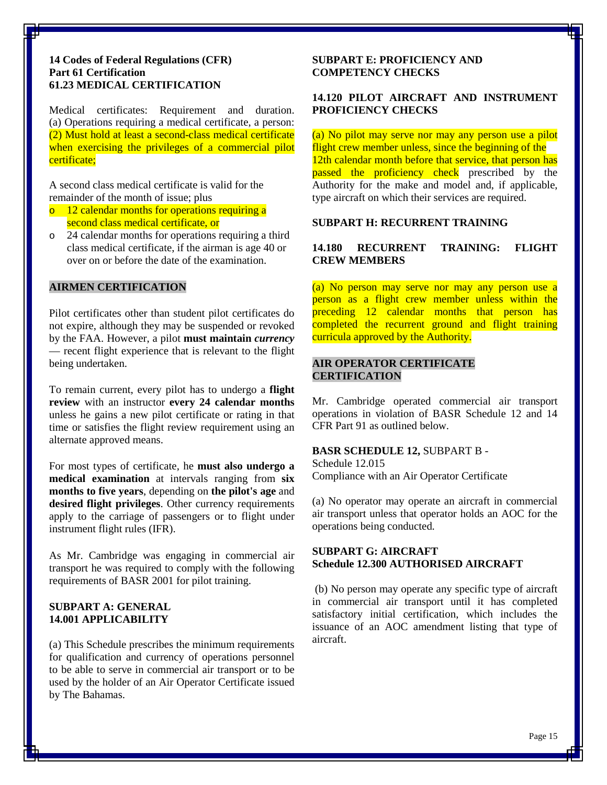#### **14 Codes of Federal Regulations (CFR) Part 61 Certification 61.23 MEDICAL CERTIFICATION**

Medical certificates: Requirement and duration. (a) Operations requiring a medical certificate, a person: (2) Must hold at least a second-class medical certificate when exercising the privileges of a commercial pilot certificate;

A second class medical certificate is valid for the remainder of the month of issue; plus

- o 12 calendar months for operations requiring a second class medical certificate, or
- o 24 calendar months for operations requiring a third class medical certificate, if the airman is age 40 or over on or before the date of the examination.

#### <span id="page-14-0"></span>**AIRMEN CERTIFICATION**

Pilot certificates other than student pilot certificates do not expire, although they may be suspended or revoked by the FAA. However, a pilot **must maintain** *currency* — recent flight experience that is relevant to the flight being undertaken.

To remain current, every pilot has to undergo a **[flight](http://en.wikipedia.org/wiki/Biennial_flight_review)  [review](http://en.wikipedia.org/wiki/Biennial_flight_review)** with an instructor **every 24 calendar months** unless he gains a new pilot certificate or rating in that time or satisfies the flight review requirement using an alternate approved means.

For most types of certificate, he **must also undergo a [medical examination](http://en.wikipedia.org/wiki/Physical_examination)** at intervals ranging from **six months to five years**, depending on **the pilot's age** and **desired flight privileges**. Other currency requirements apply to the carriage of passengers or to flight under [instrument flight rules](http://en.wikipedia.org/wiki/Instrument_flight_rules) (IFR).

As Mr. Cambridge was engaging in commercial air transport he was required to comply with the following requirements of BASR 2001 for pilot training.

## **SUBPART A: GENERAL 14.001 APPLICABILITY**

(a) This Schedule prescribes the minimum requirements for qualification and currency of operations personnel to be able to serve in commercial air transport or to be used by the holder of an Air Operator Certificate issued by The Bahamas.

#### **SUBPART E: PROFICIENCY AND COMPETENCY CHECKS**

# **14.120 PILOT AIRCRAFT AND INSTRUMENT PROFICIENCY CHECKS**

(a) No pilot may serve nor may any person use a pilot flight crew member unless, since the beginning of the 12th calendar month before that service, that person has passed the proficiency check prescribed by the Authority for the make and model and, if applicable, type aircraft on which their services are required.

# **SUBPART H: RECURRENT TRAINING**

# **14.180 RECURRENT TRAINING: FLIGHT CREW MEMBERS**

(a) No person may serve nor may any person use a person as a flight crew member unless within the preceding 12 calendar months that person has completed the recurrent ground and flight training curricula approved by the Authority.

# <span id="page-14-1"></span>**AIR OPERATOR CERTIFICATE CERTIFICATION**

Mr. Cambridge operated commercial air transport operations in violation of BASR Schedule 12 and 14 CFR Part 91 as outlined below.

#### **BASR SCHEDULE 12,** SUBPART B -

Schedule 12.015 Compliance with an Air Operator Certificate

(a) No operator may operate an aircraft in commercial air transport unless that operator holds an AOC for the operations being conducted.

# **SUBPART G: AIRCRAFT Schedule 12.300 AUTHORISED AIRCRAFT**

(b) No person may operate any specific type of aircraft in commercial air transport until it has completed satisfactory initial certification, which includes the issuance of an AOC amendment listing that type of aircraft.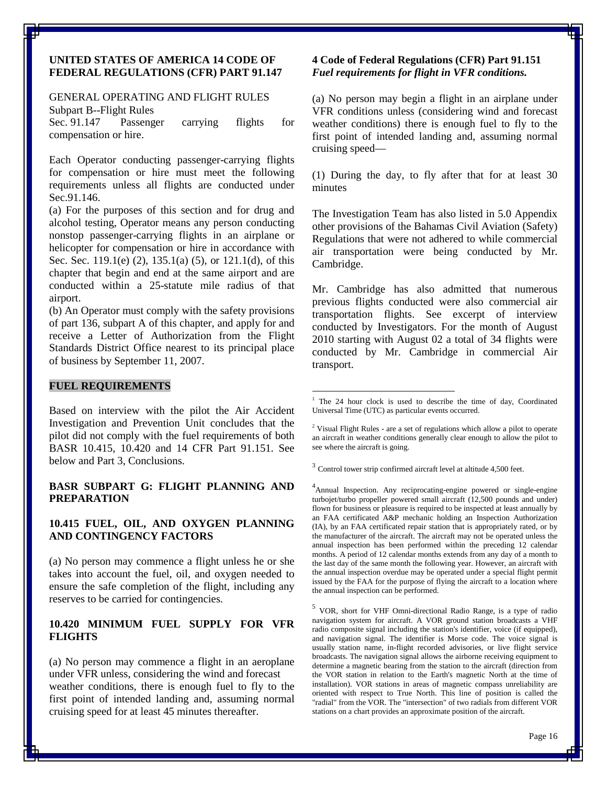#### **UNITED STATES OF AMERICA 14 CODE OF FEDERAL REGULATIONS (CFR) PART 91.147**

#### GENERAL OPERATING AND FLIGHT RULES Subpart B--Flight Rules

Sec. 91.147 Passenger carrying flights for compensation or hire.

Each Operator conducting passenger-carrying flights for compensation or hire must meet the following requirements unless all flights are conducted under Sec.91.146.

(a) For the purposes of this section and for drug and alcohol testing, Operator means any person conducting nonstop passenger-carrying flights in an airplane or helicopter for compensation or hire in accordance with Sec. Sec. 119.1(e) (2), 135.1(a) (5), or 121.1(d), of this chapter that begin and end at the same airport and are conducted within a 25-statute mile radius of that airport.

(b) An Operator must comply with the safety provisions of part 136, subpart A of this chapter, and apply for and receive a Letter of Authorization from the Flight Standards District Office nearest to its principal place of business by September 11, 2007.

#### **FUEL REQUIREMENTS**

<span id="page-15-0"></span>Based on interview with the pilot the Air Accident Investigation and Prevention Unit concludes that the pilot did not comply with the fuel requirements of both BASR 10.415, 10.420 and 14 CFR Part 91.151. See below and Part 3, Conclusions.

#### **BASR SUBPART G: FLIGHT PLANNING AND PREPARATION**

#### **10.415 FUEL, OIL, AND OXYGEN PLANNING AND CONTINGENCY FACTORS**

(a) No person may commence a flight unless he or she takes into account the fuel, oil, and oxygen needed to ensure the safe completion of the flight, including any reserves to be carried for contingencies.

# **10.420 MINIMUM FUEL SUPPLY FOR VFR FLIGHTS**

(a) No person may commence a flight in an aeroplane under VFR unless, considering the wind and forecast weather conditions, there is enough fuel to fly to the first point of intended landing and, assuming normal cruising speed for at least 45 minutes thereafter.

#### **4 Code of Federal Regulations (CFR) Part 91.151** *Fuel requirements for flight in VFR conditions.*

(a) No person may begin a flight in an airplane under VFR conditions unless (considering wind and forecast weather conditions) there is enough fuel to fly to the first point of intended landing and, assuming normal cruising speed—

(1) During the day, to fly after that for at least 30 minutes

The Investigation Team has also listed in 5.0 Appendix other provisions of the Bahamas Civil Aviation (Safety) Regulations that were not adhered to while commercial air transportation were being conducted by Mr. Cambridge.

Mr. Cambridge has also admitted that numerous previous flights conducted were also commercial air transportation flights. See excerpt of interview conducted by Investigators. For the month of August 2010 starting with August 02 a total of 34 flights were conducted by Mr. Cambridge in commercial Air transport.

<sup>3</sup> Control tower strip confirmed aircraft level at altitude 4,500 feet.

4 Annual Inspection. Any reciprocating-engine powered or single-engine turbojet/turbo propeller powered small aircraft (12,500 pounds and under) flown for business or pleasure is required to be inspected at least annually by an FAA certificated A&P mechanic holding an Inspection Authorization (IA), by an FAA certificated repair station that is appropriately rated, or by the manufacturer of the aircraft. The aircraft may not be operated unless the annual inspection has been performed within the preceding 12 calendar months. A period of 12 calendar months extends from any day of a month to the last day of the same month the following year. However, an aircraft with the annual inspection overdue may be operated under a special flight permit issued by the FAA for the purpose of flying the aircraft to a location where the annual inspection can be performed.

<sup>5</sup> VOR, short for VHF Omni-directional Radio Range, is a type of [radio](http://en.wikipedia.org/wiki/Radio_navigation)  [navigation](http://en.wikipedia.org/wiki/Radio_navigation) system for [aircraft.](http://en.wikipedia.org/wiki/Aircraft) A VOR ground station broadcasts a [VHF](http://en.wikipedia.org/wiki/VHF) [radio](http://en.wikipedia.org/wiki/Radio) composite signal including the station's identifier, voice (if equipped), and navigation signal. The identifier is [Morse code.](http://en.wikipedia.org/wiki/Morse_code) The voice signal is usually station name, in-flight recorded advisories, or live flight service broadcasts. The navigation signal allows the airborne receiving equipment to determine a [magnetic bearing](http://en.wikipedia.org/wiki/Bearing_(navigation)#Types_of_bearings) from the station to the aircraft (direction from the VOR station in relation to the [Earth's magnetic North](http://en.wikipedia.org/wiki/Magnetic_North_Pole) at the time of installation). VOR stations in areas of magnetic compass unreliability are oriented with respect to [True North.](http://en.wikipedia.org/wiki/True_North) This [line of position](http://en.wikipedia.org/wiki/Position_line) is called the "radial" from the VOR. The "intersection" of two radials from different VOR stations on a chart provides an approximate position of the aircraft.

<sup>&</sup>lt;sup>1</sup> The 24 hour clock is used to describe the time of day, Coordinated Universal Time (UTC) as particular events occurred.

<sup>&</sup>lt;sup>2</sup> Visual Flight Rules - are a set of regulations which allow [a pilot](http://en.wikipedia.org/wiki/Aviator) to operate an [aircraft](http://en.wikipedia.org/wiki/Aircraft) in weather conditions generally clear enough to allow the pilot to see where the aircraft is going.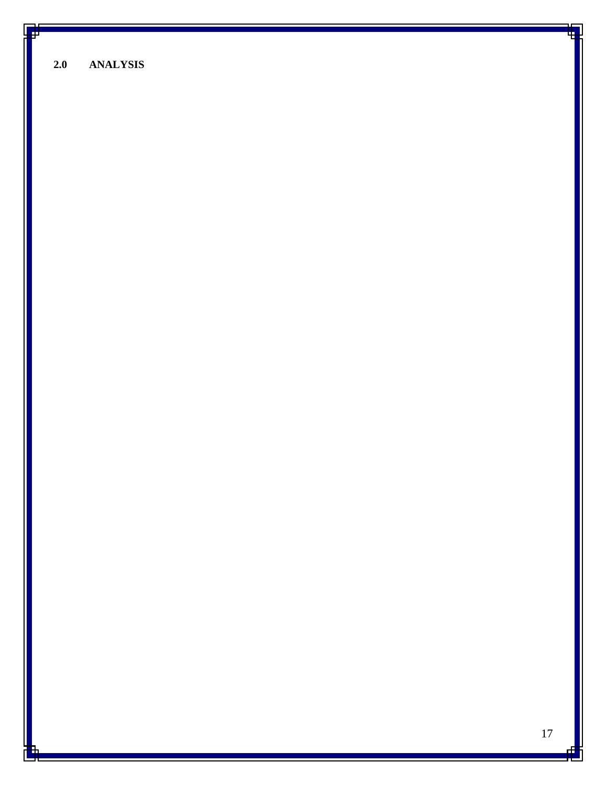<span id="page-16-0"></span>**2.0 ANALYSIS**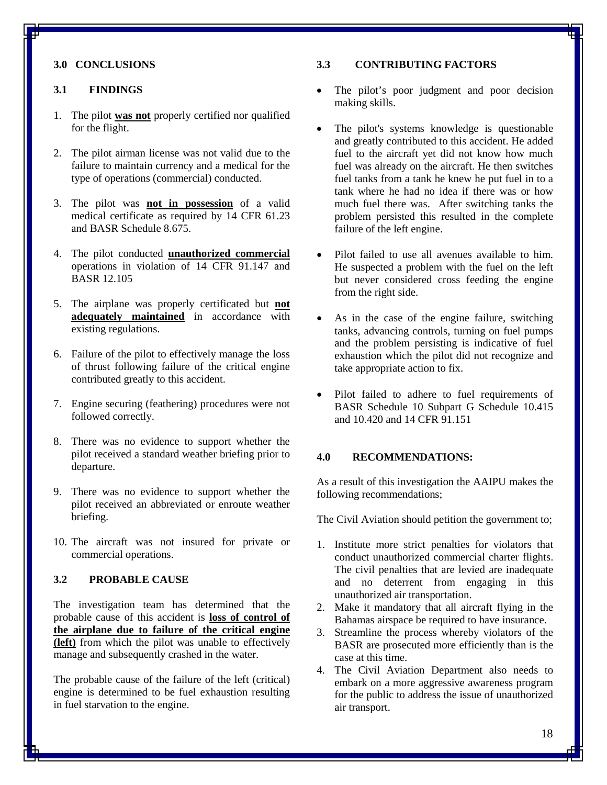# <span id="page-17-0"></span>**3.0 CONCLUSIONS**

# <span id="page-17-1"></span>**3.1 FINDINGS**

- 1. The pilot **was not** properly certified nor qualified for the flight.
- 2. The pilot airman license was not valid due to the failure to maintain currency and a medical for the type of operations (commercial) conducted.
- 3. The pilot was **not in possession** of a valid medical certificate as required by 14 CFR 61.23 and BASR Schedule 8.675.
- 4. The pilot conducted **unauthorized commercial** operations in violation of 14 CFR 91.147 and BASR 12.105
- 5. The airplane was properly certificated but **not adequately maintained** in accordance with existing regulations.
- 6. Failure of the pilot to effectively manage the loss of thrust following failure of the critical engine contributed greatly to this accident.
- 7. Engine securing (feathering) procedures were not followed correctly.
- 8. There was no evidence to support whether the pilot received a standard weather briefing prior to departure.
- 9. There was no evidence to support whether the pilot received an abbreviated or enroute weather briefing.
- 10. The aircraft was not insured for private or commercial operations.

# <span id="page-17-2"></span>**3.2 PROBABLE CAUSE**

The investigation team has determined that the probable cause of this accident is **loss of control of the airplane due to failure of the critical engine (left)** from which the pilot was unable to effectively manage and subsequently crashed in the water.

The probable cause of the failure of the left (critical) engine is determined to be fuel exhaustion resulting in fuel starvation to the engine.

## <span id="page-17-3"></span>**3.3 CONTRIBUTING FACTORS**

- The pilot's poor judgment and poor decision making skills.
- The pilot's systems knowledge is questionable and greatly contributed to this accident. He added fuel to the aircraft yet did not know how much fuel was already on the aircraft. He then switches fuel tanks from a tank he knew he put fuel in to a tank where he had no idea if there was or how much fuel there was. After switching tanks the problem persisted this resulted in the complete failure of the left engine.
- Pilot failed to use all avenues available to him. He suspected a problem with the fuel on the left but never considered cross feeding the engine from the right side.
- As in the case of the engine failure, switching tanks, advancing controls, turning on fuel pumps and the problem persisting is indicative of fuel exhaustion which the pilot did not recognize and take appropriate action to fix.
- Pilot failed to adhere to fuel requirements of BASR Schedule 10 Subpart G Schedule 10.415 and 10.420 and 14 CFR 91.151

#### <span id="page-17-4"></span>**4.0 RECOMMENDATIONS:**

As a result of this investigation the AAIPU makes the following recommendations;

The Civil Aviation should petition the government to;

- 1. Institute more strict penalties for violators that conduct unauthorized commercial charter flights. The civil penalties that are levied are inadequate and no deterrent from engaging in this unauthorized air transportation.
- 2. Make it mandatory that all aircraft flying in the Bahamas airspace be required to have insurance.
- 3. Streamline the process whereby violators of the BASR are prosecuted more efficiently than is the case at this time.
- 4. The Civil Aviation Department also needs to embark on a more aggressive awareness program for the public to address the issue of unauthorized air transport.

18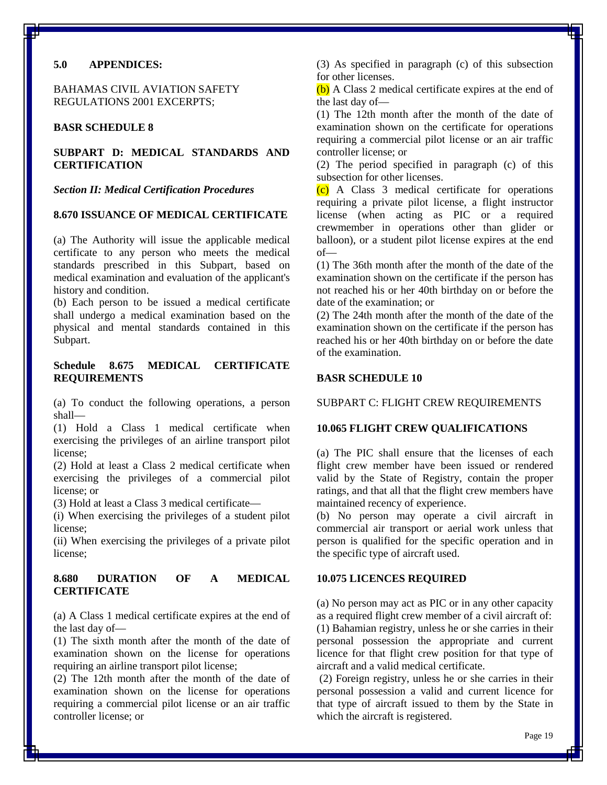#### <span id="page-18-0"></span>**5.0 APPENDICES:**

BAHAMAS CIVIL AVIATION SAFETY REGULATIONS 2001 EXCERPTS;

#### **BASR SCHEDULE 8**

# **SUBPART D: MEDICAL STANDARDS AND CERTIFICATION**

*Section II: Medical Certification Procedures*

#### **8.670 ISSUANCE OF MEDICAL CERTIFICATE**

(a) The Authority will issue the applicable medical certificate to any person who meets the medical standards prescribed in this Subpart, based on medical examination and evaluation of the applicant's history and condition.

(b) Each person to be issued a medical certificate shall undergo a medical examination based on the physical and mental standards contained in this Subpart.

# **Schedule 8.675 MEDICAL CERTIFICATE REQUIREMENTS**

(a) To conduct the following operations, a person shall—

(1) Hold a Class 1 medical certificate when exercising the privileges of an airline transport pilot license;

(2) Hold at least a Class 2 medical certificate when exercising the privileges of a commercial pilot license; or

(3) Hold at least a Class 3 medical certificate—

(i) When exercising the privileges of a student pilot license;

(ii) When exercising the privileges of a private pilot license;

# **8.680 DURATION OF A MEDICAL CERTIFICATE**

(a) A Class 1 medical certificate expires at the end of the last day of—

(1) The sixth month after the month of the date of examination shown on the license for operations requiring an airline transport pilot license;

(2) The 12th month after the month of the date of examination shown on the license for operations requiring a commercial pilot license or an air traffic controller license; or

(3) As specified in paragraph (c) of this subsection for other licenses.

(b) A Class 2 medical certificate expires at the end of the last day of—

(1) The 12th month after the month of the date of examination shown on the certificate for operations requiring a commercial pilot license or an air traffic controller license; or

(2) The period specified in paragraph (c) of this subsection for other licenses.

(c) A Class 3 medical certificate for operations requiring a private pilot license, a flight instructor license (when acting as PIC or a required crewmember in operations other than glider or balloon), or a student pilot license expires at the end of—

(1) The 36th month after the month of the date of the examination shown on the certificate if the person has not reached his or her 40th birthday on or before the date of the examination; or

(2) The 24th month after the month of the date of the examination shown on the certificate if the person has reached his or her 40th birthday on or before the date of the examination.

#### **BASR SCHEDULE 10**

SUBPART C: FLIGHT CREW REQUIREMENTS

### **10.065 FLIGHT CREW QUALIFICATIONS**

(a) The PIC shall ensure that the licenses of each flight crew member have been issued or rendered valid by the State of Registry, contain the proper ratings, and that all that the flight crew members have maintained recency of experience.

(b) No person may operate a civil aircraft in commercial air transport or aerial work unless that person is qualified for the specific operation and in the specific type of aircraft used.

#### **10.075 LICENCES REQUIRED**

(a) No person may act as PIC or in any other capacity as a required flight crew member of a civil aircraft of: (1) Bahamian registry, unless he or she carries in their personal possession the appropriate and current licence for that flight crew position for that type of aircraft and a valid medical certificate.

(2) Foreign registry, unless he or she carries in their personal possession a valid and current licence for that type of aircraft issued to them by the State in which the aircraft is registered.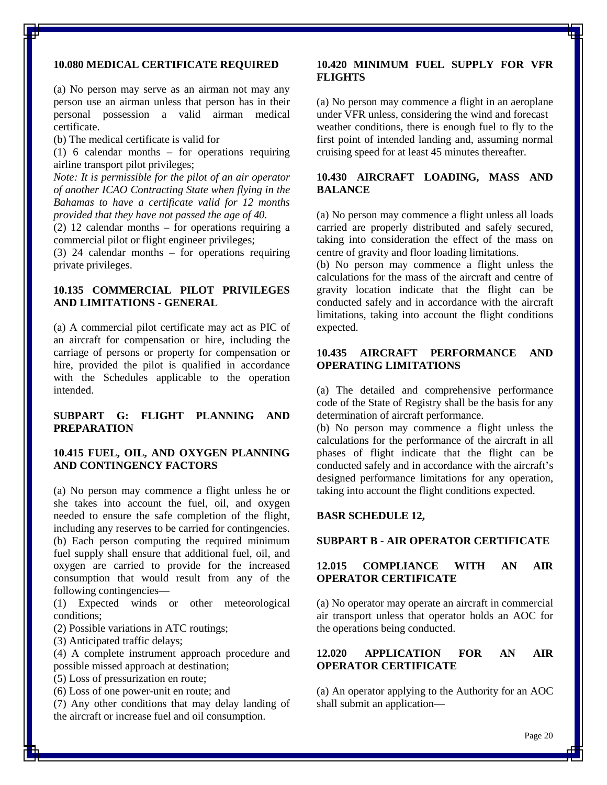# **10.080 MEDICAL CERTIFICATE REQUIRED**

(a) No person may serve as an airman not may any person use an airman unless that person has in their personal possession a valid airman medical certificate.

(b) The medical certificate is valid for

(1) 6 calendar months – for operations requiring airline transport pilot privileges;

*Note: It is permissible for the pilot of an air operator of another ICAO Contracting State when flying in the Bahamas to have a certificate valid for 12 months provided that they have not passed the age of 40.*

(2) 12 calendar months – for operations requiring a commercial pilot or flight engineer privileges;

(3) 24 calendar months – for operations requiring private privileges.

# **10.135 COMMERCIAL PILOT PRIVILEGES AND LIMITATIONS - GENERAL**

(a) A commercial pilot certificate may act as PIC of an aircraft for compensation or hire, including the carriage of persons or property for compensation or hire, provided the pilot is qualified in accordance with the Schedules applicable to the operation intended.

# **SUBPART G: FLIGHT PLANNING AND PREPARATION**

# **10.415 FUEL, OIL, AND OXYGEN PLANNING AND CONTINGENCY FACTORS**

(a) No person may commence a flight unless he or she takes into account the fuel, oil, and oxygen needed to ensure the safe completion of the flight, including any reserves to be carried for contingencies. (b) Each person computing the required minimum fuel supply shall ensure that additional fuel, oil, and oxygen are carried to provide for the increased consumption that would result from any of the following contingencies—

(1) Expected winds or other meteorological conditions;

(2) Possible variations in ATC routings;

(3) Anticipated traffic delays;

(4) A complete instrument approach procedure and possible missed approach at destination;

(5) Loss of pressurization en route;

(6) Loss of one power-unit en route; and

(7) Any other conditions that may delay landing of the aircraft or increase fuel and oil consumption.

#### **10.420 MINIMUM FUEL SUPPLY FOR VFR FLIGHTS**

(a) No person may commence a flight in an aeroplane under VFR unless, considering the wind and forecast weather conditions, there is enough fuel to fly to the first point of intended landing and, assuming normal cruising speed for at least 45 minutes thereafter.

# **10.430 AIRCRAFT LOADING, MASS AND BALANCE**

(a) No person may commence a flight unless all loads carried are properly distributed and safely secured, taking into consideration the effect of the mass on centre of gravity and floor loading limitations.

(b) No person may commence a flight unless the calculations for the mass of the aircraft and centre of gravity location indicate that the flight can be conducted safely and in accordance with the aircraft limitations, taking into account the flight conditions expected.

# **10.435 AIRCRAFT PERFORMANCE AND OPERATING LIMITATIONS**

(a) The detailed and comprehensive performance code of the State of Registry shall be the basis for any determination of aircraft performance.

(b) No person may commence a flight unless the calculations for the performance of the aircraft in all phases of flight indicate that the flight can be conducted safely and in accordance with the aircraft's designed performance limitations for any operation, taking into account the flight conditions expected.

#### **BASR SCHEDULE 12,**

#### **SUBPART B - AIR OPERATOR CERTIFICATE**

#### **12.015 COMPLIANCE WITH AN AIR OPERATOR CERTIFICATE**

(a) No operator may operate an aircraft in commercial air transport unless that operator holds an AOC for the operations being conducted.

# **12.020 APPLICATION FOR AN AIR OPERATOR CERTIFICATE**

(a) An operator applying to the Authority for an AOC shall submit an application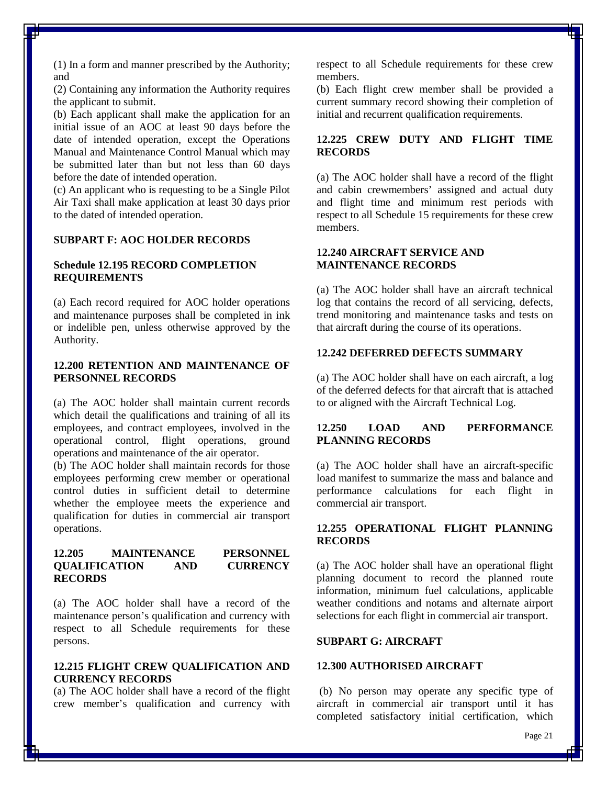(1) In a form and manner prescribed by the Authority; and

(2) Containing any information the Authority requires the applicant to submit.

(b) Each applicant shall make the application for an initial issue of an AOC at least 90 days before the date of intended operation, except the Operations Manual and Maintenance Control Manual which may be submitted later than but not less than 60 days before the date of intended operation.

(c) An applicant who is requesting to be a Single Pilot Air Taxi shall make application at least 30 days prior to the dated of intended operation.

# **SUBPART F: AOC HOLDER RECORDS**

#### **Schedule 12.195 RECORD COMPLETION REQUIREMENTS**

(a) Each record required for AOC holder operations and maintenance purposes shall be completed in ink or indelible pen, unless otherwise approved by the Authority.

## **12.200 RETENTION AND MAINTENANCE OF PERSONNEL RECORDS**

(a) The AOC holder shall maintain current records which detail the qualifications and training of all its employees, and contract employees, involved in the operational control, flight operations, ground operations and maintenance of the air operator.

(b) The AOC holder shall maintain records for those employees performing crew member or operational control duties in sufficient detail to determine whether the employee meets the experience and qualification for duties in commercial air transport operations.

# **12.205 MAINTENANCE PERSONNEL QUALIFICATION AND CURRENCY RECORDS**

(a) The AOC holder shall have a record of the maintenance person's qualification and currency with respect to all Schedule requirements for these persons.

# **12.215 FLIGHT CREW QUALIFICATION AND CURRENCY RECORDS**

(a) The AOC holder shall have a record of the flight crew member's qualification and currency with

respect to all Schedule requirements for these crew members.

(b) Each flight crew member shall be provided a current summary record showing their completion of initial and recurrent qualification requirements.

# **12.225 CREW DUTY AND FLIGHT TIME RECORDS**

(a) The AOC holder shall have a record of the flight and cabin crewmembers' assigned and actual duty and flight time and minimum rest periods with respect to all Schedule 15 requirements for these crew members.

## **12.240 AIRCRAFT SERVICE AND MAINTENANCE RECORDS**

(a) The AOC holder shall have an aircraft technical log that contains the record of all servicing, defects, trend monitoring and maintenance tasks and tests on that aircraft during the course of its operations.

# **12.242 DEFERRED DEFECTS SUMMARY**

(a) The AOC holder shall have on each aircraft, a log of the deferred defects for that aircraft that is attached to or aligned with the Aircraft Technical Log.

# **12.250 LOAD AND PERFORMANCE PLANNING RECORDS**

(a) The AOC holder shall have an aircraft-specific load manifest to summarize the mass and balance and performance calculations for each flight in commercial air transport.

# **12.255 OPERATIONAL FLIGHT PLANNING RECORDS**

(a) The AOC holder shall have an operational flight planning document to record the planned route information, minimum fuel calculations, applicable weather conditions and notams and alternate airport selections for each flight in commercial air transport.

#### **SUBPART G: AIRCRAFT**

#### **12.300 AUTHORISED AIRCRAFT**

(b) No person may operate any specific type of aircraft in commercial air transport until it has completed satisfactory initial certification, which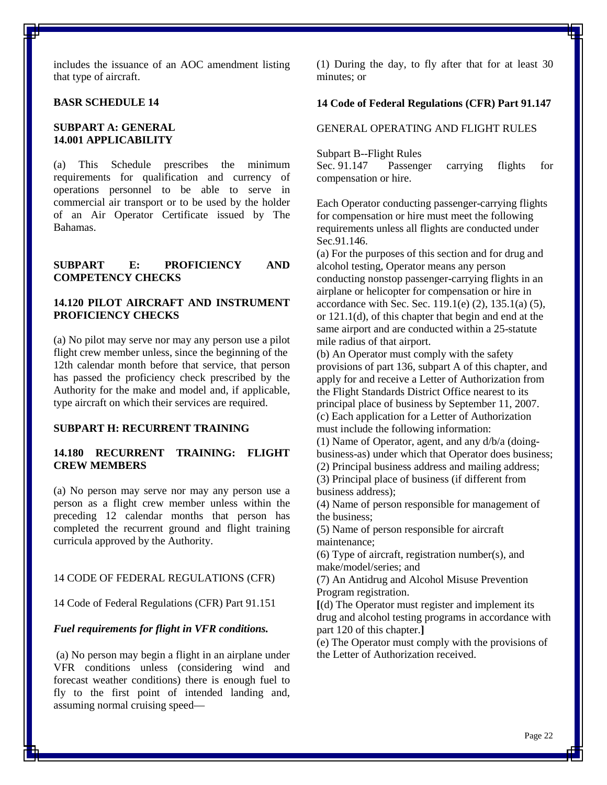includes the issuance of an AOC amendment listing that type of aircraft.

#### **BASR SCHEDULE 14**

# **SUBPART A: GENERAL 14.001 APPLICABILITY**

(a) This Schedule prescribes the minimum requirements for qualification and currency of operations personnel to be able to serve in commercial air transport or to be used by the holder of an Air Operator Certificate issued by The Bahamas.

#### **SUBPART E: PROFICIENCY AND COMPETENCY CHECKS**

# **14.120 PILOT AIRCRAFT AND INSTRUMENT PROFICIENCY CHECKS**

(a) No pilot may serve nor may any person use a pilot flight crew member unless, since the beginning of the 12th calendar month before that service, that person has passed the proficiency check prescribed by the Authority for the make and model and, if applicable, type aircraft on which their services are required.

### **SUBPART H: RECURRENT TRAINING**

# **14.180 RECURRENT TRAINING: FLIGHT CREW MEMBERS**

(a) No person may serve nor may any person use a person as a flight crew member unless within the preceding 12 calendar months that person has completed the recurrent ground and flight training curricula approved by the Authority.

#### 14 CODE OF FEDERAL REGULATIONS (CFR)

14 Code of Federal Regulations (CFR) Part 91.151

#### *Fuel requirements for flight in VFR conditions.*

(a) No person may begin a flight in an airplane under VFR conditions unless (considering wind and forecast weather conditions) there is enough fuel to fly to the first point of intended landing and, assuming normal cruising speed(1) During the day, to fly after that for at least 30 minutes; or

### **14 Code of Federal Regulations (CFR) Part 91.147**

# GENERAL OPERATING AND FLIGHT RULES

Subpart B--Flight Rules

Sec. 91.147 Passenger carrying flights for compensation or hire.

Each Operator conducting passenger-carrying flights for compensation or hire must meet the following requirements unless all flights are conducted under Sec.91.146.

(a) For the purposes of this section and for drug and alcohol testing, Operator means any person conducting nonstop passenger-carrying flights in an airplane or helicopter for compensation or hire in accordance with Sec. Sec.  $119.1(e)$  (2),  $135.1(a)$  (5), or 121.1(d), of this chapter that begin and end at the same airport and are conducted within a 25-statute mile radius of that airport.

(b) An Operator must comply with the safety provisions of part 136, subpart A of this chapter, and apply for and receive a Letter of Authorization from the Flight Standards District Office nearest to its principal place of business by September 11, 2007. (c) Each application for a Letter of Authorization must include the following information:

(1) Name of Operator, agent, and any d/b/a (doingbusiness-as) under which that Operator does business;

(2) Principal business address and mailing address;

(3) Principal place of business (if different from business address);

(4) Name of person responsible for management of the business;

(5) Name of person responsible for aircraft maintenance;

(6) Type of aircraft, registration number(s), and make/model/series; and

(7) An Antidrug and Alcohol Misuse Prevention Program registration.

**[**(d) The Operator must register and implement its drug and alcohol testing programs in accordance with part 120 of this chapter.**]**

(e) The Operator must comply with the provisions of the Letter of Authorization received.